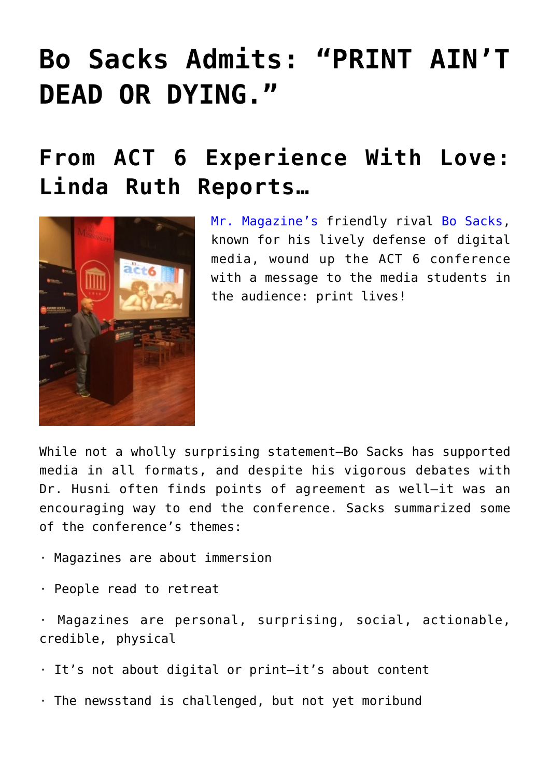## **[Bo Sacks Admits: "PRINT AIN'T](https://www.commpro.biz/bo-sacks-admits-print-aint-dead-or-dying/) [DEAD OR DYING."](https://www.commpro.biz/bo-sacks-admits-print-aint-dead-or-dying/)**

## **From ACT 6 Experience With Love: Linda Ruth Reports…**



[Mr. Magazine's](https://www.commpro.biz/mr-magazine-blog/) friendly rival [Bo Sacks,](https://www.bosacks.com/) known for his lively defense of digital media, wound up the ACT 6 conference with a message to the media students in the audience: print lives!

While not a wholly surprising statement—Bo Sacks has supported media in all formats, and despite his vigorous debates with Dr. Husni often finds points of agreement as well—it was an encouraging way to end the conference. Sacks summarized some of the conference's themes:

- · Magazines are about immersion
- · People read to retreat

· Magazines are personal, surprising, social, actionable, credible, physical

- · It's not about digital or print—it's about content
- · The newsstand is challenged, but not yet moribund